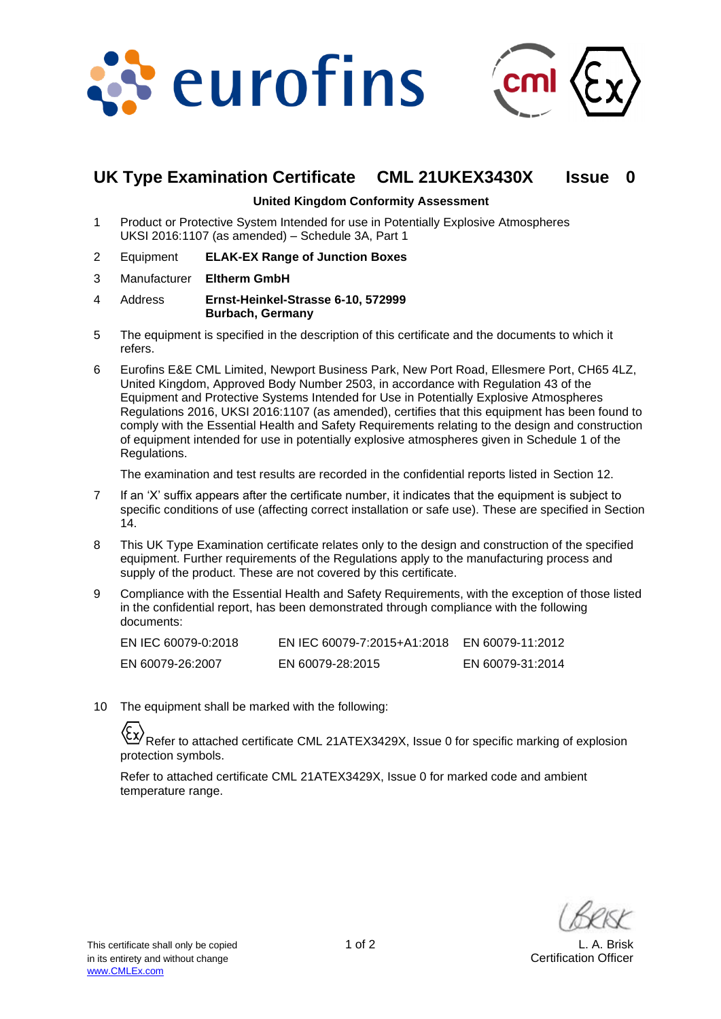



# **UK Type Examination Certificate CML 21UKEX3430X Issue 0**

#### **United Kingdom Conformity Assessment**

- 1 Product or Protective System Intended for use in Potentially Explosive Atmospheres UKSI 2016:1107 (as amended) – Schedule 3A, Part 1
- 2 Equipment **ELAK-EX Range of Junction Boxes**
- 3 Manufacturer **Eltherm GmbH**
- 4 Address **Ernst-Heinkel-Strasse 6-10, 572999 Burbach, Germany**
- 5 The equipment is specified in the description of this certificate and the documents to which it refers.
- 6 Eurofins E&E CML Limited, Newport Business Park, New Port Road, Ellesmere Port, CH65 4LZ, United Kingdom, Approved Body Number 2503, in accordance with Regulation 43 of the Equipment and Protective Systems Intended for Use in Potentially Explosive Atmospheres Regulations 2016, UKSI 2016:1107 (as amended), certifies that this equipment has been found to comply with the Essential Health and Safety Requirements relating to the design and construction of equipment intended for use in potentially explosive atmospheres given in Schedule 1 of the Regulations.

The examination and test results are recorded in the confidential reports listed in Section 12.

- 7 If an 'X' suffix appears after the certificate number, it indicates that the equipment is subject to specific conditions of use (affecting correct installation or safe use). These are specified in Section 14.
- 8 This UK Type Examination certificate relates only to the design and construction of the specified equipment. Further requirements of the Regulations apply to the manufacturing process and supply of the product. These are not covered by this certificate.
- 9 Compliance with the Essential Health and Safety Requirements, with the exception of those listed in the confidential report, has been demonstrated through compliance with the following documents:

| EN IEC 60079-0:2018 | EN IEC 60079-7:2015+A1:2018 | EN 60079-11:2012 |
|---------------------|-----------------------------|------------------|
| EN 60079-26:2007    | EN 60079-28:2015            | EN 60079-31:2014 |

10 The equipment shall be marked with the following:

Refer to attached certificate CML 21ATEX3429X, Issue 0 for specific marking of explosion protection symbols.

Refer to attached certificate CML 21ATEX3429X, Issue 0 for marked code and ambient temperature range.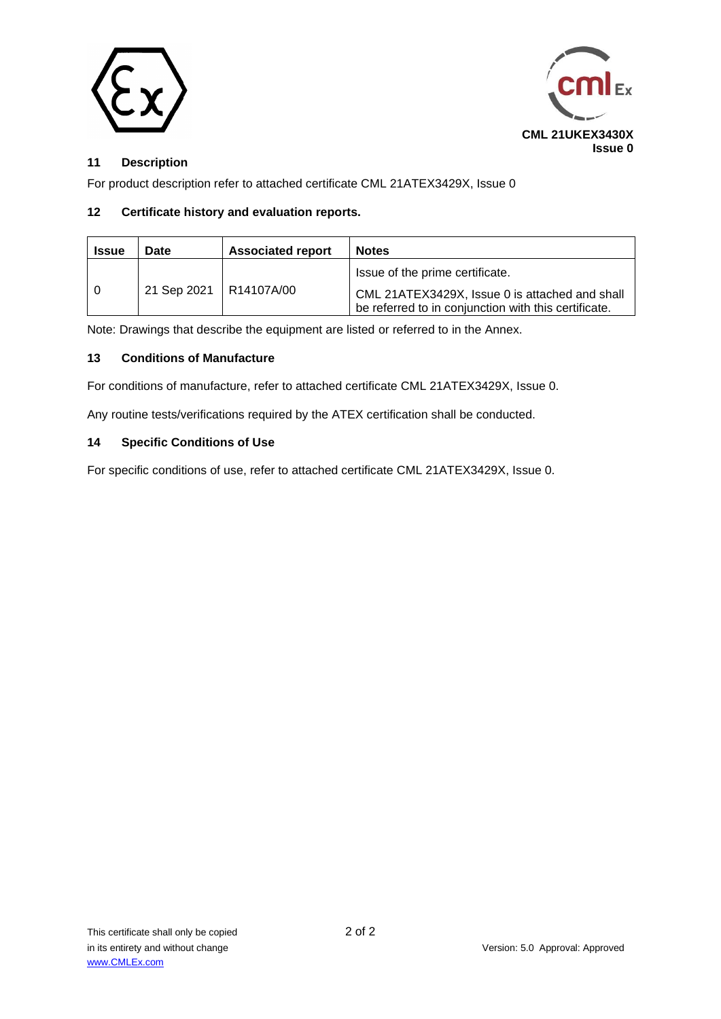



## **11 Description**

For product description refer to attached certificate CML 21ATEX3429X, Issue 0

### **12 Certificate history and evaluation reports.**

| <b>Issue</b> | Date                     | <b>Associated report</b> | <b>Notes</b>                                                                                                                              |
|--------------|--------------------------|--------------------------|-------------------------------------------------------------------------------------------------------------------------------------------|
|              | 21 Sep 2021   R14107A/00 |                          | Issue of the prime certificate.<br>CML 21ATEX3429X, Issue 0 is attached and shall<br>be referred to in conjunction with this certificate. |

Note: Drawings that describe the equipment are listed or referred to in the Annex.

### **13 Conditions of Manufacture**

For conditions of manufacture, refer to attached certificate CML 21ATEX3429X, Issue 0.

Any routine tests/verifications required by the ATEX certification shall be conducted.

### **14 Specific Conditions of Use**

For specific conditions of use, refer to attached certificate CML 21ATEX3429X, Issue 0.